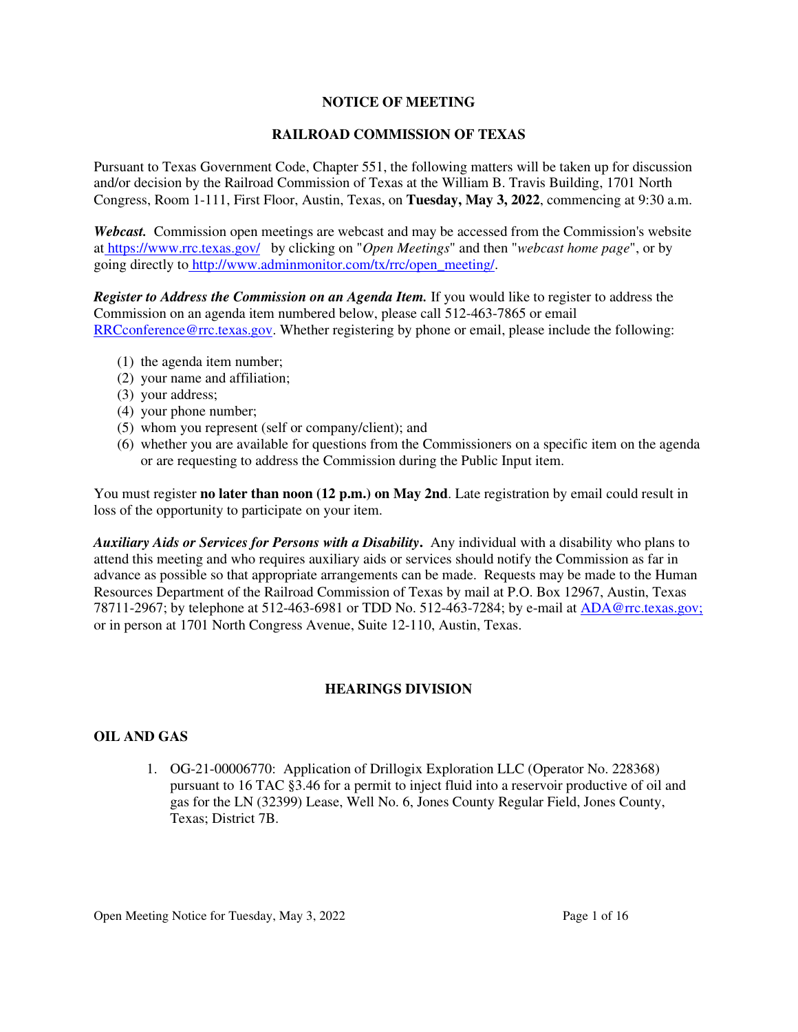## **NOTICE OF MEETING**

## **RAILROAD COMMISSION OF TEXAS**

Pursuant to Texas Government Code, Chapter 551, the following matters will be taken up for discussion and/or decision by the Railroad Commission of Texas at the William B. Travis Building, 1701 North Congress, Room 1-111, First Floor, Austin, Texas, on **Tuesday, May 3, 2022**, commencing at 9:30 a.m.

*Webcast.* Commission open meetings are webcast and may be accessed from the Commission's website at https://www.rrc.texas.gov/ by clicking on "*Open Meetings*" and then "*webcast home page*", or by going directly to http://www.adminmonitor.com/tx/rrc/open\_meeting/.

*Register to Address the Commission on an Agenda Item.* If you would like to register to address the Commission on an agenda item numbered below, please call 512-463-7865 or email RRCconference@rrc.texas.gov. Whether registering by phone or email, please include the following:

- (1) the agenda item number;
- (2) your name and affiliation;
- (3) your address;
- (4) your phone number;
- (5) whom you represent (self or company/client); and
- (6) whether you are available for questions from the Commissioners on a specific item on the agenda or are requesting to address the Commission during the Public Input item.

You must register **no later than noon (12 p.m.) on May 2nd**. Late registration by email could result in loss of the opportunity to participate on your item.

*Auxiliary Aids or Services for Persons with a Disability***.** Any individual with a disability who plans to attend this meeting and who requires auxiliary aids or services should notify the Commission as far in advance as possible so that appropriate arrangements can be made. Requests may be made to the Human Resources Department of the Railroad Commission of Texas by mail at P.O. Box 12967, Austin, Texas 78711-2967; by telephone at 512-463-6981 or TDD No. 512-463-7284; by e-mail at ADA@rrc.texas.gov; or in person at 1701 North Congress Avenue, Suite 12-110, Austin, Texas.

# **HEARINGS DIVISION**

# **OIL AND GAS**

1. OG-21-00006770: Application of Drillogix Exploration LLC (Operator No. 228368) pursuant to 16 TAC §3.46 for a permit to inject fluid into a reservoir productive of oil and gas for the LN (32399) Lease, Well No. 6, Jones County Regular Field, Jones County, Texas; District 7B.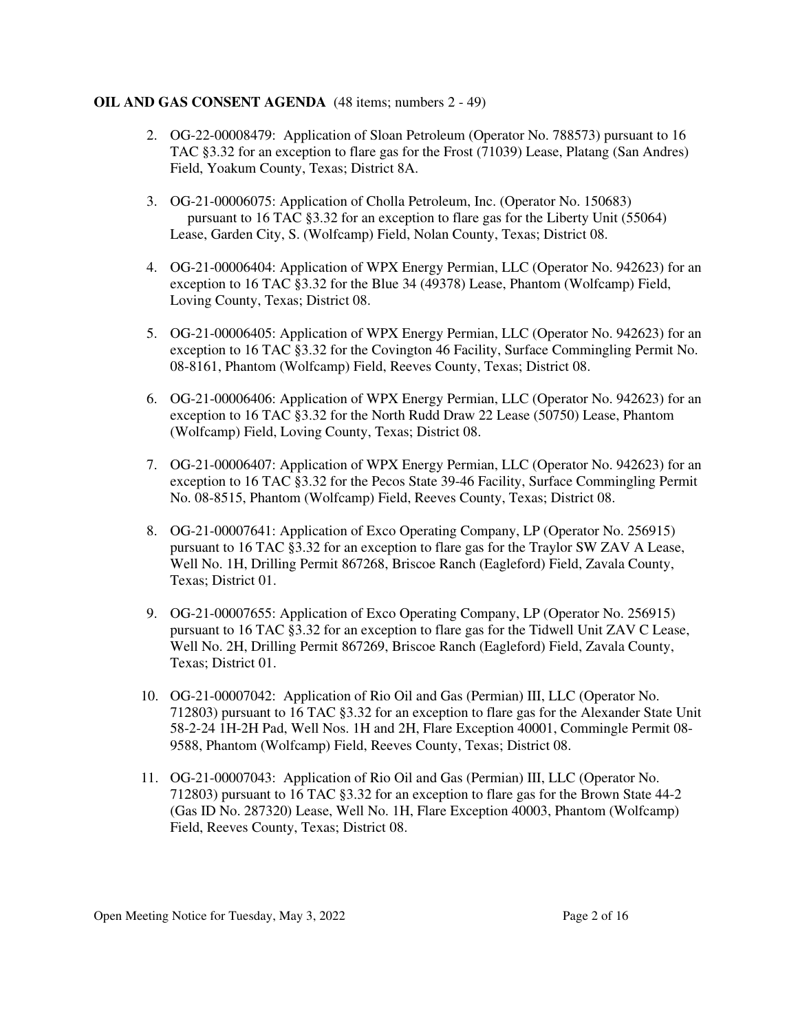## **OIL AND GAS CONSENT AGENDA** (48 items; numbers 2 - 49)

- 2. OG-22-00008479: Application of Sloan Petroleum (Operator No. 788573) pursuant to 16 TAC §3.32 for an exception to flare gas for the Frost (71039) Lease, Platang (San Andres) Field, Yoakum County, Texas; District 8A.
- 3. OG-21-00006075: Application of Cholla Petroleum, Inc. (Operator No. 150683) pursuant to 16 TAC §3.32 for an exception to flare gas for the Liberty Unit (55064) Lease, Garden City, S. (Wolfcamp) Field, Nolan County, Texas; District 08.
- 4. OG-21-00006404: Application of WPX Energy Permian, LLC (Operator No. 942623) for an exception to 16 TAC §3.32 for the Blue 34 (49378) Lease, Phantom (Wolfcamp) Field, Loving County, Texas; District 08.
- 5. OG-21-00006405: Application of WPX Energy Permian, LLC (Operator No. 942623) for an exception to 16 TAC §3.32 for the Covington 46 Facility, Surface Commingling Permit No. 08-8161, Phantom (Wolfcamp) Field, Reeves County, Texas; District 08.
- 6. OG-21-00006406: Application of WPX Energy Permian, LLC (Operator No. 942623) for an exception to 16 TAC §3.32 for the North Rudd Draw 22 Lease (50750) Lease, Phantom (Wolfcamp) Field, Loving County, Texas; District 08.
- 7. OG-21-00006407: Application of WPX Energy Permian, LLC (Operator No. 942623) for an exception to 16 TAC §3.32 for the Pecos State 39-46 Facility, Surface Commingling Permit No. 08-8515, Phantom (Wolfcamp) Field, Reeves County, Texas; District 08.
- 8. OG-21-00007641: Application of Exco Operating Company, LP (Operator No. 256915) pursuant to 16 TAC §3.32 for an exception to flare gas for the Traylor SW ZAV A Lease, Well No. 1H, Drilling Permit 867268, Briscoe Ranch (Eagleford) Field, Zavala County, Texas; District 01.
- 9. OG-21-00007655: Application of Exco Operating Company, LP (Operator No. 256915) pursuant to 16 TAC §3.32 for an exception to flare gas for the Tidwell Unit ZAV C Lease, Well No. 2H, Drilling Permit 867269, Briscoe Ranch (Eagleford) Field, Zavala County, Texas; District 01.
- 10. OG-21-00007042: Application of Rio Oil and Gas (Permian) III, LLC (Operator No. 712803) pursuant to 16 TAC §3.32 for an exception to flare gas for the Alexander State Unit 58-2-24 1H-2H Pad, Well Nos. 1H and 2H, Flare Exception 40001, Commingle Permit 08- 9588, Phantom (Wolfcamp) Field, Reeves County, Texas; District 08.
- 11. OG-21-00007043: Application of Rio Oil and Gas (Permian) III, LLC (Operator No. 712803) pursuant to 16 TAC §3.32 for an exception to flare gas for the Brown State 44-2 (Gas ID No. 287320) Lease, Well No. 1H, Flare Exception 40003, Phantom (Wolfcamp) Field, Reeves County, Texas; District 08.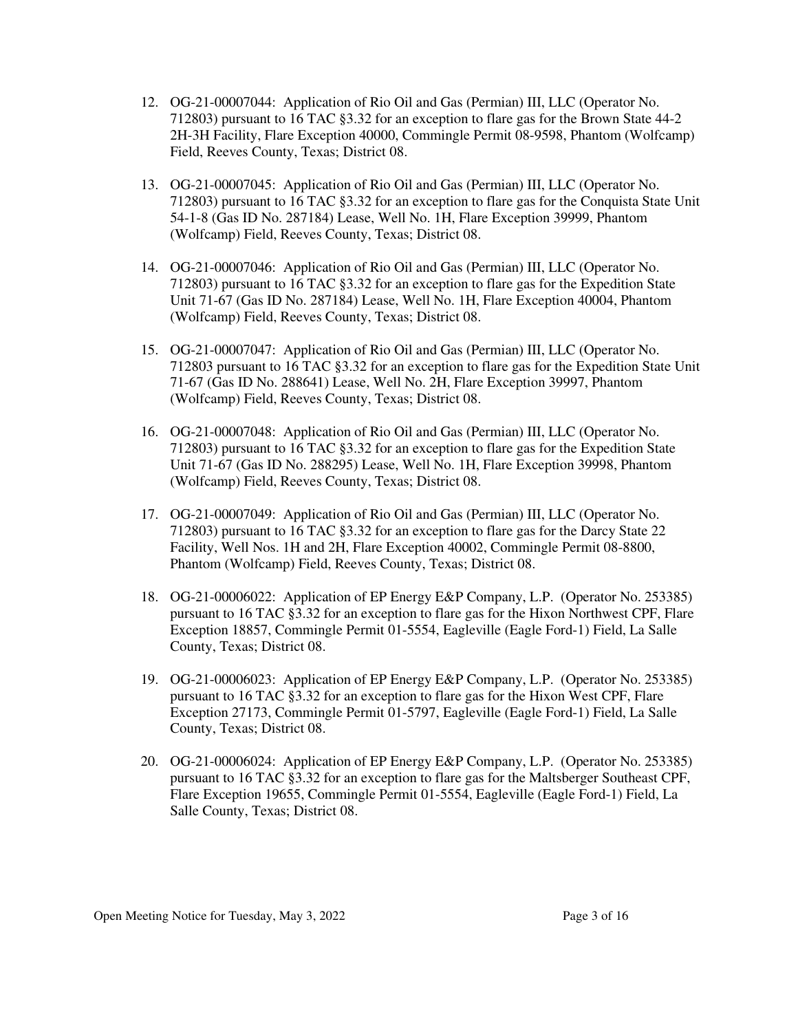- 12. OG-21-00007044: Application of Rio Oil and Gas (Permian) III, LLC (Operator No. 712803) pursuant to 16 TAC §3.32 for an exception to flare gas for the Brown State 44-2 2H-3H Facility, Flare Exception 40000, Commingle Permit 08-9598, Phantom (Wolfcamp) Field, Reeves County, Texas; District 08.
- 13. OG-21-00007045: Application of Rio Oil and Gas (Permian) III, LLC (Operator No. 712803) pursuant to 16 TAC §3.32 for an exception to flare gas for the Conquista State Unit 54-1-8 (Gas ID No. 287184) Lease, Well No. 1H, Flare Exception 39999, Phantom (Wolfcamp) Field, Reeves County, Texas; District 08.
- 14. OG-21-00007046: Application of Rio Oil and Gas (Permian) III, LLC (Operator No. 712803) pursuant to 16 TAC §3.32 for an exception to flare gas for the Expedition State Unit 71-67 (Gas ID No. 287184) Lease, Well No. 1H, Flare Exception 40004, Phantom (Wolfcamp) Field, Reeves County, Texas; District 08.
- 15. OG-21-00007047: Application of Rio Oil and Gas (Permian) III, LLC (Operator No. 712803 pursuant to 16 TAC §3.32 for an exception to flare gas for the Expedition State Unit 71-67 (Gas ID No. 288641) Lease, Well No. 2H, Flare Exception 39997, Phantom (Wolfcamp) Field, Reeves County, Texas; District 08.
- 16. OG-21-00007048: Application of Rio Oil and Gas (Permian) III, LLC (Operator No. 712803) pursuant to 16 TAC §3.32 for an exception to flare gas for the Expedition State Unit 71-67 (Gas ID No. 288295) Lease, Well No. 1H, Flare Exception 39998, Phantom (Wolfcamp) Field, Reeves County, Texas; District 08.
- 17. OG-21-00007049: Application of Rio Oil and Gas (Permian) III, LLC (Operator No. 712803) pursuant to 16 TAC §3.32 for an exception to flare gas for the Darcy State 22 Facility, Well Nos. 1H and 2H, Flare Exception 40002, Commingle Permit 08-8800, Phantom (Wolfcamp) Field, Reeves County, Texas; District 08.
- 18. OG-21-00006022: Application of EP Energy E&P Company, L.P. (Operator No. 253385) pursuant to 16 TAC §3.32 for an exception to flare gas for the Hixon Northwest CPF, Flare Exception 18857, Commingle Permit 01-5554, Eagleville (Eagle Ford-1) Field, La Salle County, Texas; District 08.
- 19. OG-21-00006023: Application of EP Energy E&P Company, L.P. (Operator No. 253385) pursuant to 16 TAC §3.32 for an exception to flare gas for the Hixon West CPF, Flare Exception 27173, Commingle Permit 01-5797, Eagleville (Eagle Ford-1) Field, La Salle County, Texas; District 08.
- 20. OG-21-00006024: Application of EP Energy E&P Company, L.P. (Operator No. 253385) pursuant to 16 TAC §3.32 for an exception to flare gas for the Maltsberger Southeast CPF, Flare Exception 19655, Commingle Permit 01-5554, Eagleville (Eagle Ford-1) Field, La Salle County, Texas; District 08.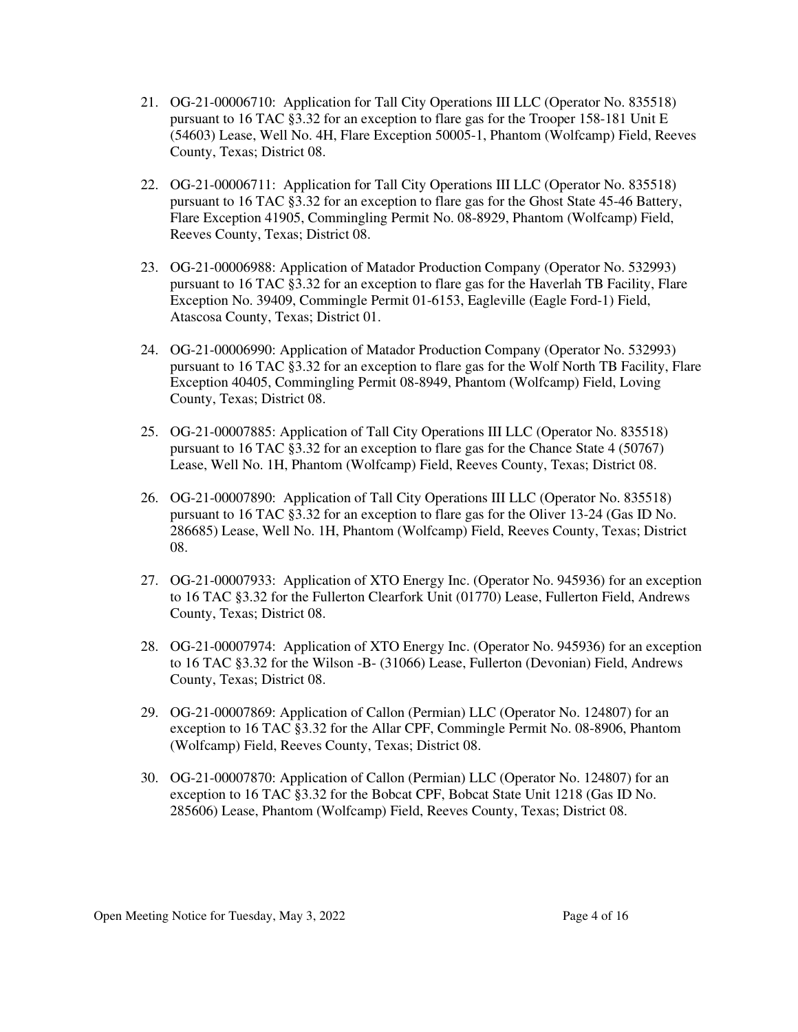- 21. OG-21-00006710: Application for Tall City Operations III LLC (Operator No. 835518) pursuant to 16 TAC §3.32 for an exception to flare gas for the Trooper 158-181 Unit E (54603) Lease, Well No. 4H, Flare Exception 50005-1, Phantom (Wolfcamp) Field, Reeves County, Texas; District 08.
- 22. OG-21-00006711: Application for Tall City Operations III LLC (Operator No. 835518) pursuant to 16 TAC §3.32 for an exception to flare gas for the Ghost State 45-46 Battery, Flare Exception 41905, Commingling Permit No. 08-8929, Phantom (Wolfcamp) Field, Reeves County, Texas; District 08.
- 23. OG-21-00006988: Application of Matador Production Company (Operator No. 532993) pursuant to 16 TAC §3.32 for an exception to flare gas for the Haverlah TB Facility, Flare Exception No. 39409, Commingle Permit 01-6153, Eagleville (Eagle Ford-1) Field, Atascosa County, Texas; District 01.
- 24. OG-21-00006990: Application of Matador Production Company (Operator No. 532993) pursuant to 16 TAC §3.32 for an exception to flare gas for the Wolf North TB Facility, Flare Exception 40405, Commingling Permit 08-8949, Phantom (Wolfcamp) Field, Loving County, Texas; District 08.
- 25. OG-21-00007885: Application of Tall City Operations III LLC (Operator No. 835518) pursuant to 16 TAC §3.32 for an exception to flare gas for the Chance State 4 (50767) Lease, Well No. 1H, Phantom (Wolfcamp) Field, Reeves County, Texas; District 08.
- 26. OG-21-00007890: Application of Tall City Operations III LLC (Operator No. 835518) pursuant to 16 TAC §3.32 for an exception to flare gas for the Oliver 13-24 (Gas ID No. 286685) Lease, Well No. 1H, Phantom (Wolfcamp) Field, Reeves County, Texas; District 08.
- 27. OG-21-00007933: Application of XTO Energy Inc. (Operator No. 945936) for an exception to 16 TAC §3.32 for the Fullerton Clearfork Unit (01770) Lease, Fullerton Field, Andrews County, Texas; District 08.
- 28. OG-21-00007974: Application of XTO Energy Inc. (Operator No. 945936) for an exception to 16 TAC §3.32 for the Wilson -B- (31066) Lease, Fullerton (Devonian) Field, Andrews County, Texas; District 08.
- 29. OG-21-00007869: Application of Callon (Permian) LLC (Operator No. 124807) for an exception to 16 TAC §3.32 for the Allar CPF, Commingle Permit No. 08-8906, Phantom (Wolfcamp) Field, Reeves County, Texas; District 08.
- 30. OG-21-00007870: Application of Callon (Permian) LLC (Operator No. 124807) for an exception to 16 TAC §3.32 for the Bobcat CPF, Bobcat State Unit 1218 (Gas ID No. 285606) Lease, Phantom (Wolfcamp) Field, Reeves County, Texas; District 08.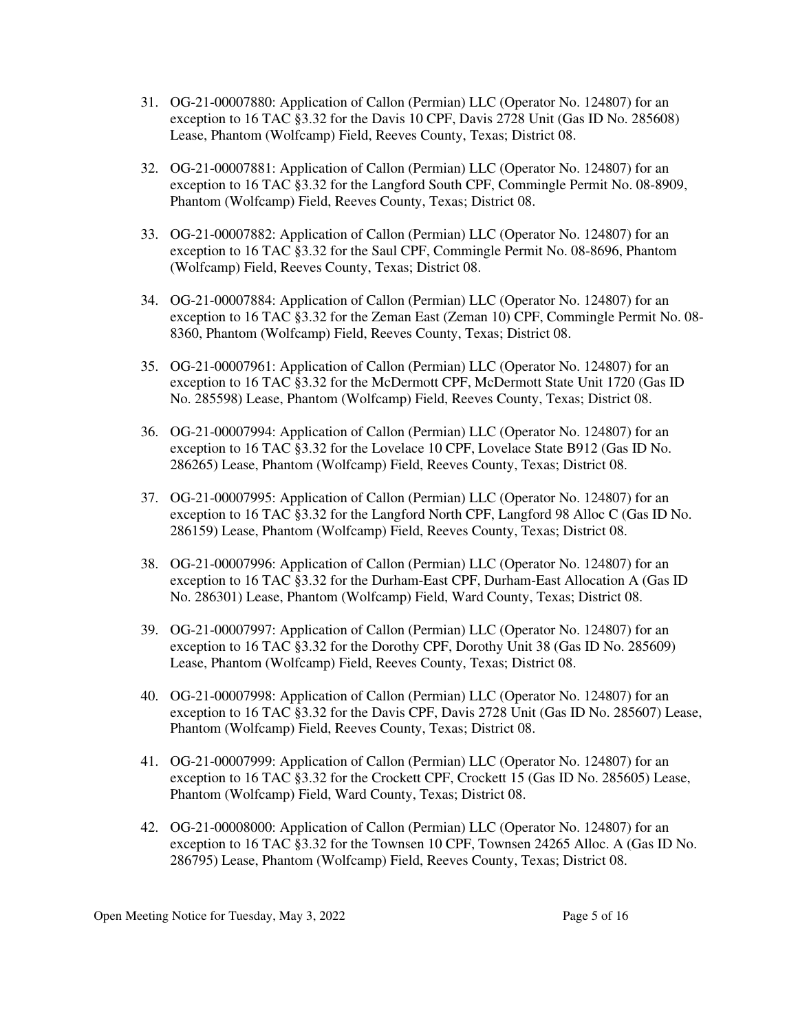- 31. OG-21-00007880: Application of Callon (Permian) LLC (Operator No. 124807) for an exception to 16 TAC §3.32 for the Davis 10 CPF, Davis 2728 Unit (Gas ID No. 285608) Lease, Phantom (Wolfcamp) Field, Reeves County, Texas; District 08.
- 32. OG-21-00007881: Application of Callon (Permian) LLC (Operator No. 124807) for an exception to 16 TAC §3.32 for the Langford South CPF, Commingle Permit No. 08-8909, Phantom (Wolfcamp) Field, Reeves County, Texas; District 08.
- 33. OG-21-00007882: Application of Callon (Permian) LLC (Operator No. 124807) for an exception to 16 TAC §3.32 for the Saul CPF, Commingle Permit No. 08-8696, Phantom (Wolfcamp) Field, Reeves County, Texas; District 08.
- 34. OG-21-00007884: Application of Callon (Permian) LLC (Operator No. 124807) for an exception to 16 TAC §3.32 for the Zeman East (Zeman 10) CPF, Commingle Permit No. 08- 8360, Phantom (Wolfcamp) Field, Reeves County, Texas; District 08.
- 35. OG-21-00007961: Application of Callon (Permian) LLC (Operator No. 124807) for an exception to 16 TAC §3.32 for the McDermott CPF, McDermott State Unit 1720 (Gas ID No. 285598) Lease, Phantom (Wolfcamp) Field, Reeves County, Texas; District 08.
- 36. OG-21-00007994: Application of Callon (Permian) LLC (Operator No. 124807) for an exception to 16 TAC §3.32 for the Lovelace 10 CPF, Lovelace State B912 (Gas ID No. 286265) Lease, Phantom (Wolfcamp) Field, Reeves County, Texas; District 08.
- 37. OG-21-00007995: Application of Callon (Permian) LLC (Operator No. 124807) for an exception to 16 TAC §3.32 for the Langford North CPF, Langford 98 Alloc C (Gas ID No. 286159) Lease, Phantom (Wolfcamp) Field, Reeves County, Texas; District 08.
- 38. OG-21-00007996: Application of Callon (Permian) LLC (Operator No. 124807) for an exception to 16 TAC §3.32 for the Durham-East CPF, Durham-East Allocation A (Gas ID No. 286301) Lease, Phantom (Wolfcamp) Field, Ward County, Texas; District 08.
- 39. OG-21-00007997: Application of Callon (Permian) LLC (Operator No. 124807) for an exception to 16 TAC §3.32 for the Dorothy CPF, Dorothy Unit 38 (Gas ID No. 285609) Lease, Phantom (Wolfcamp) Field, Reeves County, Texas; District 08.
- 40. OG-21-00007998: Application of Callon (Permian) LLC (Operator No. 124807) for an exception to 16 TAC §3.32 for the Davis CPF, Davis 2728 Unit (Gas ID No. 285607) Lease, Phantom (Wolfcamp) Field, Reeves County, Texas; District 08.
- 41. OG-21-00007999: Application of Callon (Permian) LLC (Operator No. 124807) for an exception to 16 TAC §3.32 for the Crockett CPF, Crockett 15 (Gas ID No. 285605) Lease, Phantom (Wolfcamp) Field, Ward County, Texas; District 08.
- 42. OG-21-00008000: Application of Callon (Permian) LLC (Operator No. 124807) for an exception to 16 TAC §3.32 for the Townsen 10 CPF, Townsen 24265 Alloc. A (Gas ID No. 286795) Lease, Phantom (Wolfcamp) Field, Reeves County, Texas; District 08.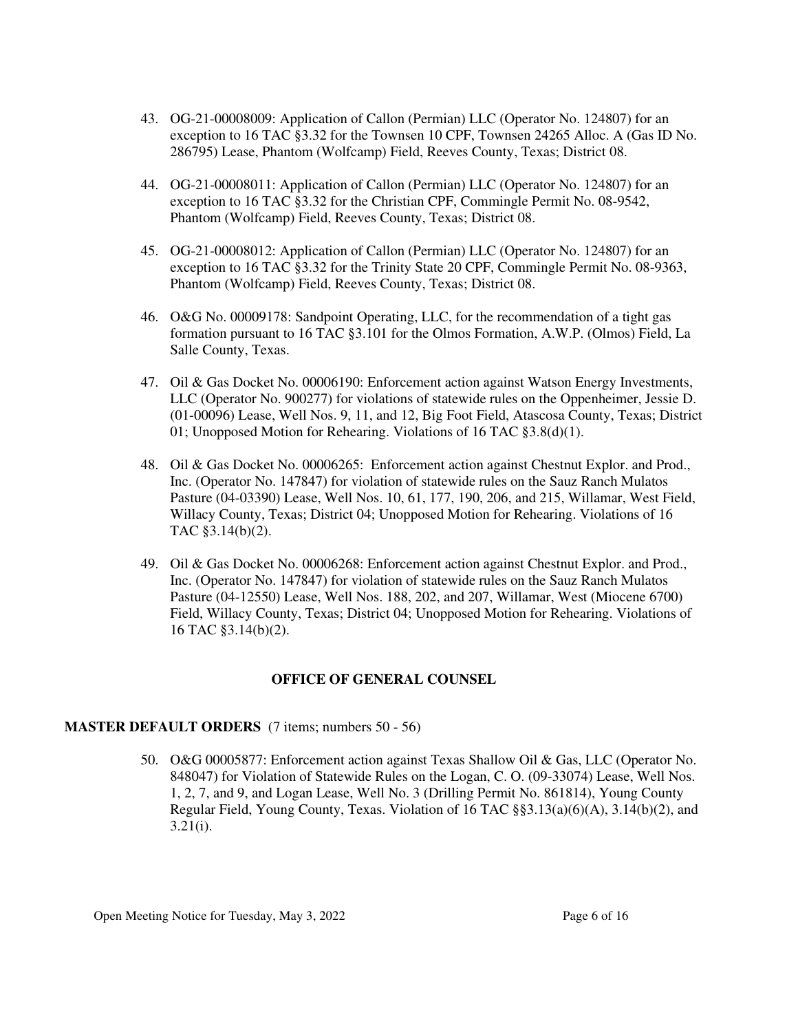- 43. OG-21-00008009: Application of Callon (Permian) LLC (Operator No. 124807) for an exception to 16 TAC §3.32 for the Townsen 10 CPF, Townsen 24265 Alloc. A (Gas ID No. 286795) Lease, Phantom (Wolfcamp) Field, Reeves County, Texas; District 08.
- 44. OG-21-00008011: Application of Callon (Permian) LLC (Operator No. 124807) for an exception to 16 TAC §3.32 for the Christian CPF, Commingle Permit No. 08-9542, Phantom (Wolfcamp) Field, Reeves County, Texas; District 08.
- 45. OG-21-00008012: Application of Callon (Permian) LLC (Operator No. 124807) for an exception to 16 TAC §3.32 for the Trinity State 20 CPF, Commingle Permit No. 08-9363, Phantom (Wolfcamp) Field, Reeves County, Texas; District 08.
- 46. O&G No. 00009178: Sandpoint Operating, LLC, for the recommendation of a tight gas formation pursuant to 16 TAC §3.101 for the Olmos Formation, A.W.P. (Olmos) Field, La Salle County, Texas.
- 47. Oil & Gas Docket No. 00006190: Enforcement action against Watson Energy Investments, LLC (Operator No. 900277) for violations of statewide rules on the Oppenheimer, Jessie D. (01-00096) Lease, Well Nos. 9, 11, and 12, Big Foot Field, Atascosa County, Texas; District 01; Unopposed Motion for Rehearing. Violations of 16 TAC §3.8(d)(1).
- 48. Oil & Gas Docket No. 00006265: Enforcement action against Chestnut Explor. and Prod., Inc. (Operator No. 147847) for violation of statewide rules on the Sauz Ranch Mulatos Pasture (04-03390) Lease, Well Nos. 10, 61, 177, 190, 206, and 215, Willamar, West Field, Willacy County, Texas; District 04; Unopposed Motion for Rehearing. Violations of 16 TAC §3.14(b)(2).
- 49. Oil & Gas Docket No. 00006268: Enforcement action against Chestnut Explor. and Prod., Inc. (Operator No. 147847) for violation of statewide rules on the Sauz Ranch Mulatos Pasture (04-12550) Lease, Well Nos. 188, 202, and 207, Willamar, West (Miocene 6700) Field, Willacy County, Texas; District 04; Unopposed Motion for Rehearing. Violations of 16 TAC §3.14(b)(2).

## **OFFICE OF GENERAL COUNSEL**

## **MASTER DEFAULT ORDERS** (7 items; numbers 50 - 56)

50. O&G 00005877: Enforcement action against Texas Shallow Oil & Gas, LLC (Operator No. 848047) for Violation of Statewide Rules on the Logan, C. O. (09-33074) Lease, Well Nos. 1, 2, 7, and 9, and Logan Lease, Well No. 3 (Drilling Permit No. 861814), Young County Regular Field, Young County, Texas. Violation of 16 TAC §§3.13(a)(6)(A), 3.14(b)(2), and  $3.21(i)$ .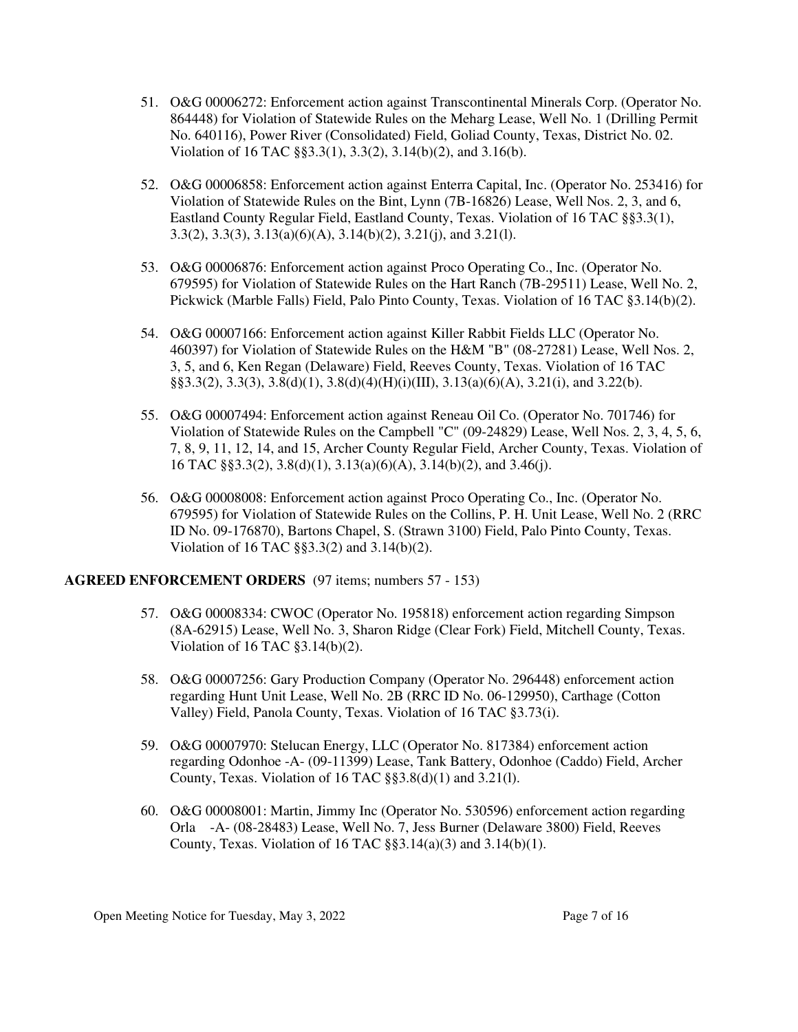- 51. O&G 00006272: Enforcement action against Transcontinental Minerals Corp. (Operator No. 864448) for Violation of Statewide Rules on the Meharg Lease, Well No. 1 (Drilling Permit No. 640116), Power River (Consolidated) Field, Goliad County, Texas, District No. 02. Violation of 16 TAC §§3.3(1), 3.3(2), 3.14(b)(2), and 3.16(b).
- 52. O&G 00006858: Enforcement action against Enterra Capital, Inc. (Operator No. 253416) for Violation of Statewide Rules on the Bint, Lynn (7B-16826) Lease, Well Nos. 2, 3, and 6, Eastland County Regular Field, Eastland County, Texas. Violation of 16 TAC §§3.3(1), 3.3(2), 3.3(3), 3.13(a)(6)(A), 3.14(b)(2), 3.21(j), and 3.21(l).
- 53. O&G 00006876: Enforcement action against Proco Operating Co., Inc. (Operator No. 679595) for Violation of Statewide Rules on the Hart Ranch (7B-29511) Lease, Well No. 2, Pickwick (Marble Falls) Field, Palo Pinto County, Texas. Violation of 16 TAC §3.14(b)(2).
- 54. O&G 00007166: Enforcement action against Killer Rabbit Fields LLC (Operator No. 460397) for Violation of Statewide Rules on the H&M "B" (08-27281) Lease, Well Nos. 2, 3, 5, and 6, Ken Regan (Delaware) Field, Reeves County, Texas. Violation of 16 TAC §§3.3(2), 3.3(3), 3.8(d)(1), 3.8(d)(4)(H)(i)(III), 3.13(a)(6)(A), 3.21(i), and 3.22(b).
- 55. O&G 00007494: Enforcement action against Reneau Oil Co. (Operator No. 701746) for Violation of Statewide Rules on the Campbell "C" (09-24829) Lease, Well Nos. 2, 3, 4, 5, 6, 7, 8, 9, 11, 12, 14, and 15, Archer County Regular Field, Archer County, Texas. Violation of 16 TAC §§3.3(2), 3.8(d)(1), 3.13(a)(6)(A), 3.14(b)(2), and 3.46(j).
- 56. O&G 00008008: Enforcement action against Proco Operating Co., Inc. (Operator No. 679595) for Violation of Statewide Rules on the Collins, P. H. Unit Lease, Well No. 2 (RRC ID No. 09-176870), Bartons Chapel, S. (Strawn 3100) Field, Palo Pinto County, Texas. Violation of 16 TAC §§3.3(2) and 3.14(b)(2).

## **AGREED ENFORCEMENT ORDERS** (97 items; numbers 57 - 153)

- 57. O&G 00008334: CWOC (Operator No. 195818) enforcement action regarding Simpson (8A-62915) Lease, Well No. 3, Sharon Ridge (Clear Fork) Field, Mitchell County, Texas. Violation of 16 TAC §3.14(b)(2).
- 58. O&G 00007256: Gary Production Company (Operator No. 296448) enforcement action regarding Hunt Unit Lease, Well No. 2B (RRC ID No. 06-129950), Carthage (Cotton Valley) Field, Panola County, Texas. Violation of 16 TAC §3.73(i).
- 59. O&G 00007970: Stelucan Energy, LLC (Operator No. 817384) enforcement action regarding Odonhoe -A- (09-11399) Lease, Tank Battery, Odonhoe (Caddo) Field, Archer County, Texas. Violation of  $16$  TAC  $\S$ §3.8(d)(1) and 3.21(l).
- 60. O&G 00008001: Martin, Jimmy Inc (Operator No. 530596) enforcement action regarding Orla -A- (08-28483) Lease, Well No. 7, Jess Burner (Delaware 3800) Field, Reeves County, Texas. Violation of  $16$  TAC  $\S$ §3.14(a)(3) and 3.14(b)(1).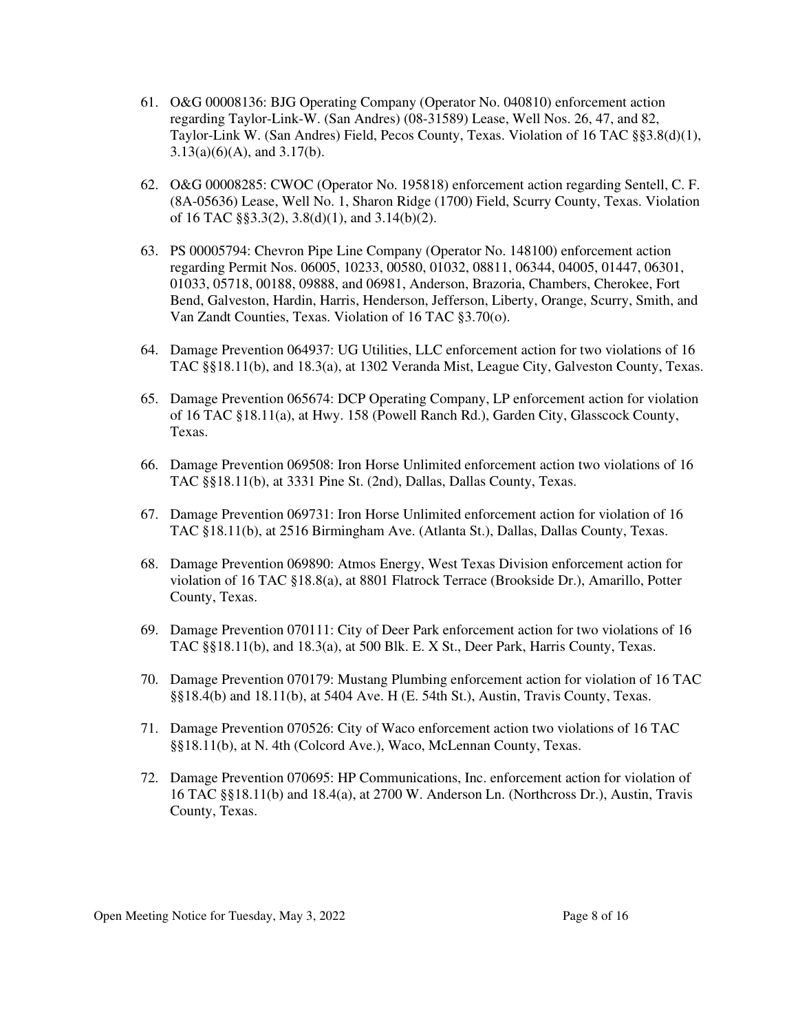- 61. O&G 00008136: BJG Operating Company (Operator No. 040810) enforcement action regarding Taylor-Link-W. (San Andres) (08-31589) Lease, Well Nos. 26, 47, and 82, Taylor-Link W. (San Andres) Field, Pecos County, Texas. Violation of 16 TAC §§3.8(d)(1),  $3.13(a)(6)(A)$ , and  $3.17(b)$ .
- 62. O&G 00008285: CWOC (Operator No. 195818) enforcement action regarding Sentell, C. F. (8A-05636) Lease, Well No. 1, Sharon Ridge (1700) Field, Scurry County, Texas. Violation of 16 TAC §§3.3(2), 3.8(d)(1), and 3.14(b)(2).
- 63. PS 00005794: Chevron Pipe Line Company (Operator No. 148100) enforcement action regarding Permit Nos. 06005, 10233, 00580, 01032, 08811, 06344, 04005, 01447, 06301, 01033, 05718, 00188, 09888, and 06981, Anderson, Brazoria, Chambers, Cherokee, Fort Bend, Galveston, Hardin, Harris, Henderson, Jefferson, Liberty, Orange, Scurry, Smith, and Van Zandt Counties, Texas. Violation of 16 TAC §3.70(o).
- 64. Damage Prevention 064937: UG Utilities, LLC enforcement action for two violations of 16 TAC §§18.11(b), and 18.3(a), at 1302 Veranda Mist, League City, Galveston County, Texas.
- 65. Damage Prevention 065674: DCP Operating Company, LP enforcement action for violation of 16 TAC §18.11(a), at Hwy. 158 (Powell Ranch Rd.), Garden City, Glasscock County, Texas.
- 66. Damage Prevention 069508: Iron Horse Unlimited enforcement action two violations of 16 TAC §§18.11(b), at 3331 Pine St. (2nd), Dallas, Dallas County, Texas.
- 67. Damage Prevention 069731: Iron Horse Unlimited enforcement action for violation of 16 TAC §18.11(b), at 2516 Birmingham Ave. (Atlanta St.), Dallas, Dallas County, Texas.
- 68. Damage Prevention 069890: Atmos Energy, West Texas Division enforcement action for violation of 16 TAC §18.8(a), at 8801 Flatrock Terrace (Brookside Dr.), Amarillo, Potter County, Texas.
- 69. Damage Prevention 070111: City of Deer Park enforcement action for two violations of 16 TAC §§18.11(b), and 18.3(a), at 500 Blk. E. X St., Deer Park, Harris County, Texas.
- 70. Damage Prevention 070179: Mustang Plumbing enforcement action for violation of 16 TAC §§18.4(b) and 18.11(b), at 5404 Ave. H (E. 54th St.), Austin, Travis County, Texas.
- 71. Damage Prevention 070526: City of Waco enforcement action two violations of 16 TAC §§18.11(b), at N. 4th (Colcord Ave.), Waco, McLennan County, Texas.
- 72. Damage Prevention 070695: HP Communications, Inc. enforcement action for violation of 16 TAC §§18.11(b) and 18.4(a), at 2700 W. Anderson Ln. (Northcross Dr.), Austin, Travis County, Texas.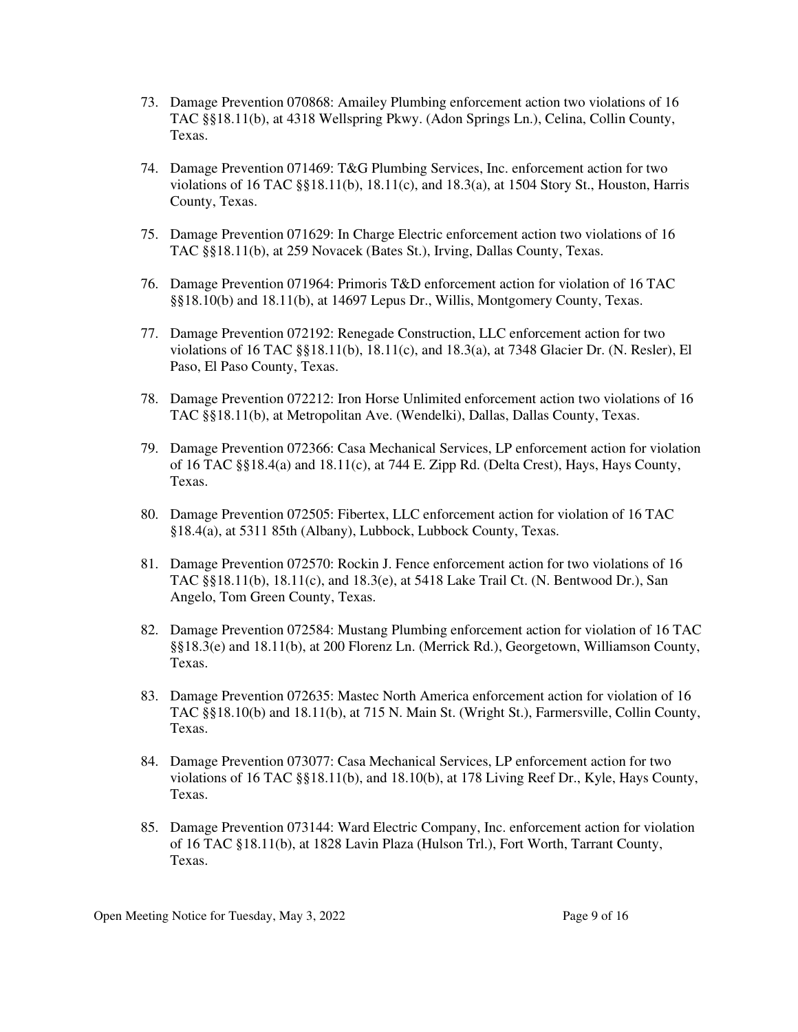- 73. Damage Prevention 070868: Amailey Plumbing enforcement action two violations of 16 TAC §§18.11(b), at 4318 Wellspring Pkwy. (Adon Springs Ln.), Celina, Collin County, Texas.
- 74. Damage Prevention 071469: T&G Plumbing Services, Inc. enforcement action for two violations of 16 TAC §§18.11(b), 18.11(c), and 18.3(a), at 1504 Story St., Houston, Harris County, Texas.
- 75. Damage Prevention 071629: In Charge Electric enforcement action two violations of 16 TAC §§18.11(b), at 259 Novacek (Bates St.), Irving, Dallas County, Texas.
- 76. Damage Prevention 071964: Primoris T&D enforcement action for violation of 16 TAC §§18.10(b) and 18.11(b), at 14697 Lepus Dr., Willis, Montgomery County, Texas.
- 77. Damage Prevention 072192: Renegade Construction, LLC enforcement action for two violations of 16 TAC §§18.11(b), 18.11(c), and 18.3(a), at 7348 Glacier Dr. (N. Resler), El Paso, El Paso County, Texas.
- 78. Damage Prevention 072212: Iron Horse Unlimited enforcement action two violations of 16 TAC §§18.11(b), at Metropolitan Ave. (Wendelki), Dallas, Dallas County, Texas.
- 79. Damage Prevention 072366: Casa Mechanical Services, LP enforcement action for violation of 16 TAC §§18.4(a) and 18.11(c), at 744 E. Zipp Rd. (Delta Crest), Hays, Hays County, Texas.
- 80. Damage Prevention 072505: Fibertex, LLC enforcement action for violation of 16 TAC §18.4(a), at 5311 85th (Albany), Lubbock, Lubbock County, Texas.
- 81. Damage Prevention 072570: Rockin J. Fence enforcement action for two violations of 16 TAC §§18.11(b), 18.11(c), and 18.3(e), at 5418 Lake Trail Ct. (N. Bentwood Dr.), San Angelo, Tom Green County, Texas.
- 82. Damage Prevention 072584: Mustang Plumbing enforcement action for violation of 16 TAC §§18.3(e) and 18.11(b), at 200 Florenz Ln. (Merrick Rd.), Georgetown, Williamson County, Texas.
- 83. Damage Prevention 072635: Mastec North America enforcement action for violation of 16 TAC §§18.10(b) and 18.11(b), at 715 N. Main St. (Wright St.), Farmersville, Collin County, Texas.
- 84. Damage Prevention 073077: Casa Mechanical Services, LP enforcement action for two violations of 16 TAC §§18.11(b), and 18.10(b), at 178 Living Reef Dr., Kyle, Hays County, Texas.
- 85. Damage Prevention 073144: Ward Electric Company, Inc. enforcement action for violation of 16 TAC §18.11(b), at 1828 Lavin Plaza (Hulson Trl.), Fort Worth, Tarrant County, Texas.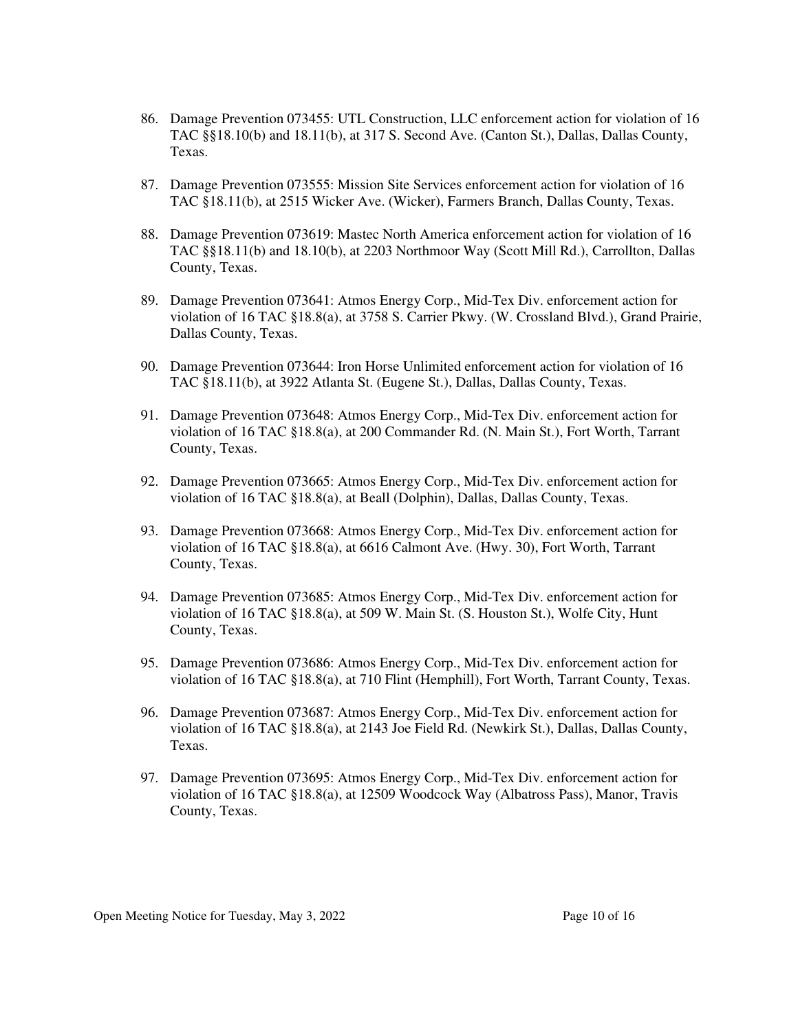- 86. Damage Prevention 073455: UTL Construction, LLC enforcement action for violation of 16 TAC §§18.10(b) and 18.11(b), at 317 S. Second Ave. (Canton St.), Dallas, Dallas County, Texas.
- 87. Damage Prevention 073555: Mission Site Services enforcement action for violation of 16 TAC §18.11(b), at 2515 Wicker Ave. (Wicker), Farmers Branch, Dallas County, Texas.
- 88. Damage Prevention 073619: Mastec North America enforcement action for violation of 16 TAC §§18.11(b) and 18.10(b), at 2203 Northmoor Way (Scott Mill Rd.), Carrollton, Dallas County, Texas.
- 89. Damage Prevention 073641: Atmos Energy Corp., Mid-Tex Div. enforcement action for violation of 16 TAC §18.8(a), at 3758 S. Carrier Pkwy. (W. Crossland Blvd.), Grand Prairie, Dallas County, Texas.
- 90. Damage Prevention 073644: Iron Horse Unlimited enforcement action for violation of 16 TAC §18.11(b), at 3922 Atlanta St. (Eugene St.), Dallas, Dallas County, Texas.
- 91. Damage Prevention 073648: Atmos Energy Corp., Mid-Tex Div. enforcement action for violation of 16 TAC §18.8(a), at 200 Commander Rd. (N. Main St.), Fort Worth, Tarrant County, Texas.
- 92. Damage Prevention 073665: Atmos Energy Corp., Mid-Tex Div. enforcement action for violation of 16 TAC §18.8(a), at Beall (Dolphin), Dallas, Dallas County, Texas.
- 93. Damage Prevention 073668: Atmos Energy Corp., Mid-Tex Div. enforcement action for violation of 16 TAC §18.8(a), at 6616 Calmont Ave. (Hwy. 30), Fort Worth, Tarrant County, Texas.
- 94. Damage Prevention 073685: Atmos Energy Corp., Mid-Tex Div. enforcement action for violation of 16 TAC §18.8(a), at 509 W. Main St. (S. Houston St.), Wolfe City, Hunt County, Texas.
- 95. Damage Prevention 073686: Atmos Energy Corp., Mid-Tex Div. enforcement action for violation of 16 TAC §18.8(a), at 710 Flint (Hemphill), Fort Worth, Tarrant County, Texas.
- 96. Damage Prevention 073687: Atmos Energy Corp., Mid-Tex Div. enforcement action for violation of 16 TAC §18.8(a), at 2143 Joe Field Rd. (Newkirk St.), Dallas, Dallas County, Texas.
- 97. Damage Prevention 073695: Atmos Energy Corp., Mid-Tex Div. enforcement action for violation of 16 TAC §18.8(a), at 12509 Woodcock Way (Albatross Pass), Manor, Travis County, Texas.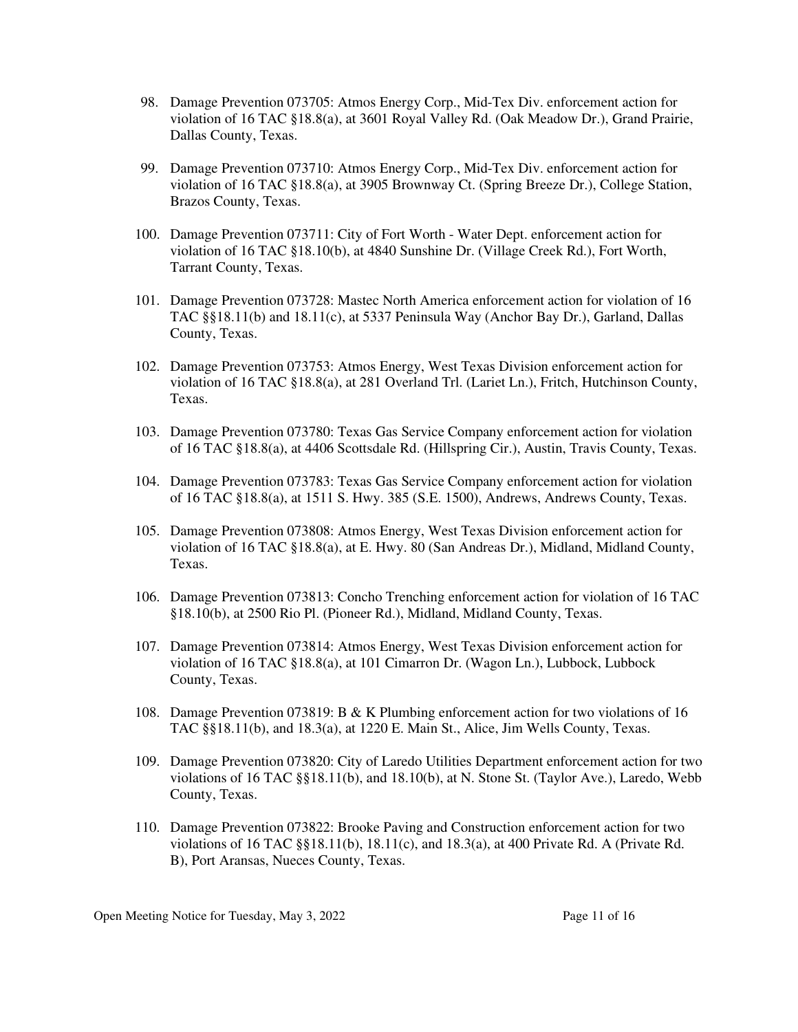- 98. Damage Prevention 073705: Atmos Energy Corp., Mid-Tex Div. enforcement action for violation of 16 TAC §18.8(a), at 3601 Royal Valley Rd. (Oak Meadow Dr.), Grand Prairie, Dallas County, Texas.
- 99. Damage Prevention 073710: Atmos Energy Corp., Mid-Tex Div. enforcement action for violation of 16 TAC §18.8(a), at 3905 Brownway Ct. (Spring Breeze Dr.), College Station, Brazos County, Texas.
- 100. Damage Prevention 073711: City of Fort Worth Water Dept. enforcement action for violation of 16 TAC §18.10(b), at 4840 Sunshine Dr. (Village Creek Rd.), Fort Worth, Tarrant County, Texas.
- 101. Damage Prevention 073728: Mastec North America enforcement action for violation of 16 TAC §§18.11(b) and 18.11(c), at 5337 Peninsula Way (Anchor Bay Dr.), Garland, Dallas County, Texas.
- 102. Damage Prevention 073753: Atmos Energy, West Texas Division enforcement action for violation of 16 TAC §18.8(a), at 281 Overland Trl. (Lariet Ln.), Fritch, Hutchinson County, Texas.
- 103. Damage Prevention 073780: Texas Gas Service Company enforcement action for violation of 16 TAC §18.8(a), at 4406 Scottsdale Rd. (Hillspring Cir.), Austin, Travis County, Texas.
- 104. Damage Prevention 073783: Texas Gas Service Company enforcement action for violation of 16 TAC §18.8(a), at 1511 S. Hwy. 385 (S.E. 1500), Andrews, Andrews County, Texas.
- 105. Damage Prevention 073808: Atmos Energy, West Texas Division enforcement action for violation of 16 TAC §18.8(a), at E. Hwy. 80 (San Andreas Dr.), Midland, Midland County, Texas.
- 106. Damage Prevention 073813: Concho Trenching enforcement action for violation of 16 TAC §18.10(b), at 2500 Rio Pl. (Pioneer Rd.), Midland, Midland County, Texas.
- 107. Damage Prevention 073814: Atmos Energy, West Texas Division enforcement action for violation of 16 TAC §18.8(a), at 101 Cimarron Dr. (Wagon Ln.), Lubbock, Lubbock County, Texas.
- 108. Damage Prevention 073819: B & K Plumbing enforcement action for two violations of 16 TAC §§18.11(b), and 18.3(a), at 1220 E. Main St., Alice, Jim Wells County, Texas.
- 109. Damage Prevention 073820: City of Laredo Utilities Department enforcement action for two violations of 16 TAC §§18.11(b), and 18.10(b), at N. Stone St. (Taylor Ave.), Laredo, Webb County, Texas.
- 110. Damage Prevention 073822: Brooke Paving and Construction enforcement action for two violations of 16 TAC §§18.11(b), 18.11(c), and 18.3(a), at 400 Private Rd. A (Private Rd. B), Port Aransas, Nueces County, Texas.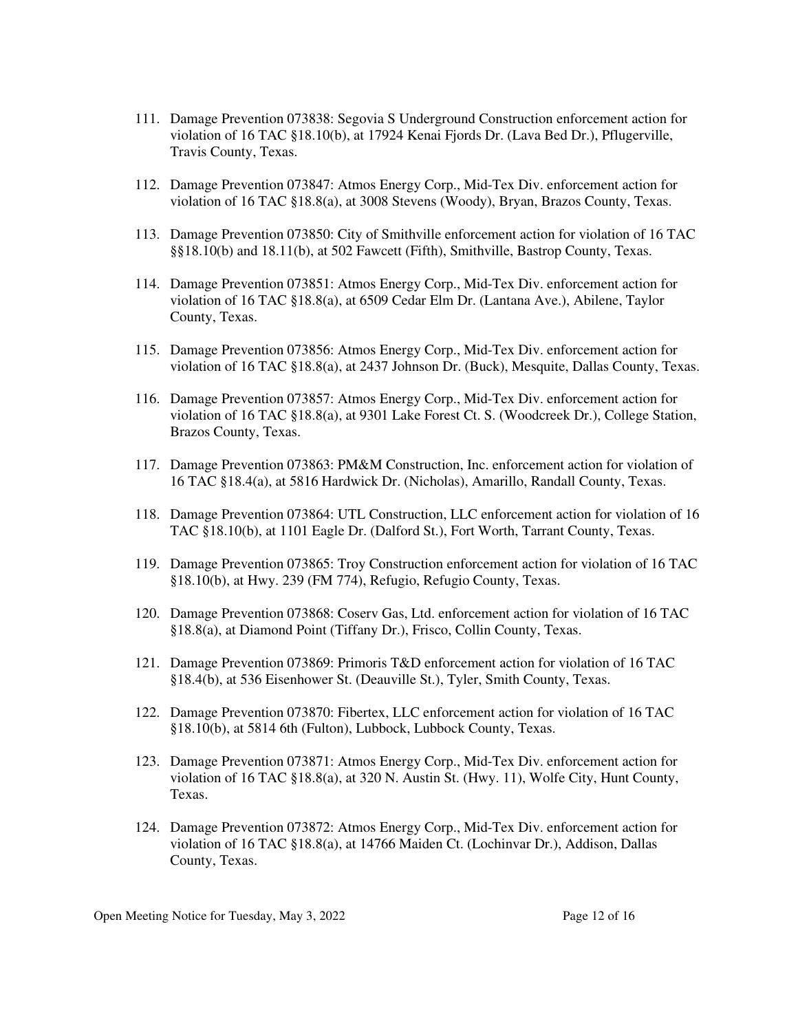- 111. Damage Prevention 073838: Segovia S Underground Construction enforcement action for violation of 16 TAC §18.10(b), at 17924 Kenai Fjords Dr. (Lava Bed Dr.), Pflugerville, Travis County, Texas.
- 112. Damage Prevention 073847: Atmos Energy Corp., Mid-Tex Div. enforcement action for violation of 16 TAC §18.8(a), at 3008 Stevens (Woody), Bryan, Brazos County, Texas.
- 113. Damage Prevention 073850: City of Smithville enforcement action for violation of 16 TAC §§18.10(b) and 18.11(b), at 502 Fawcett (Fifth), Smithville, Bastrop County, Texas.
- 114. Damage Prevention 073851: Atmos Energy Corp., Mid-Tex Div. enforcement action for violation of 16 TAC §18.8(a), at 6509 Cedar Elm Dr. (Lantana Ave.), Abilene, Taylor County, Texas.
- 115. Damage Prevention 073856: Atmos Energy Corp., Mid-Tex Div. enforcement action for violation of 16 TAC §18.8(a), at 2437 Johnson Dr. (Buck), Mesquite, Dallas County, Texas.
- 116. Damage Prevention 073857: Atmos Energy Corp., Mid-Tex Div. enforcement action for violation of 16 TAC §18.8(a), at 9301 Lake Forest Ct. S. (Woodcreek Dr.), College Station, Brazos County, Texas.
- 117. Damage Prevention 073863: PM&M Construction, Inc. enforcement action for violation of 16 TAC §18.4(a), at 5816 Hardwick Dr. (Nicholas), Amarillo, Randall County, Texas.
- 118. Damage Prevention 073864: UTL Construction, LLC enforcement action for violation of 16 TAC §18.10(b), at 1101 Eagle Dr. (Dalford St.), Fort Worth, Tarrant County, Texas.
- 119. Damage Prevention 073865: Troy Construction enforcement action for violation of 16 TAC §18.10(b), at Hwy. 239 (FM 774), Refugio, Refugio County, Texas.
- 120. Damage Prevention 073868: Coserv Gas, Ltd. enforcement action for violation of 16 TAC §18.8(a), at Diamond Point (Tiffany Dr.), Frisco, Collin County, Texas.
- 121. Damage Prevention 073869: Primoris T&D enforcement action for violation of 16 TAC §18.4(b), at 536 Eisenhower St. (Deauville St.), Tyler, Smith County, Texas.
- 122. Damage Prevention 073870: Fibertex, LLC enforcement action for violation of 16 TAC §18.10(b), at 5814 6th (Fulton), Lubbock, Lubbock County, Texas.
- 123. Damage Prevention 073871: Atmos Energy Corp., Mid-Tex Div. enforcement action for violation of 16 TAC §18.8(a), at 320 N. Austin St. (Hwy. 11), Wolfe City, Hunt County, Texas.
- 124. Damage Prevention 073872: Atmos Energy Corp., Mid-Tex Div. enforcement action for violation of 16 TAC §18.8(a), at 14766 Maiden Ct. (Lochinvar Dr.), Addison, Dallas County, Texas.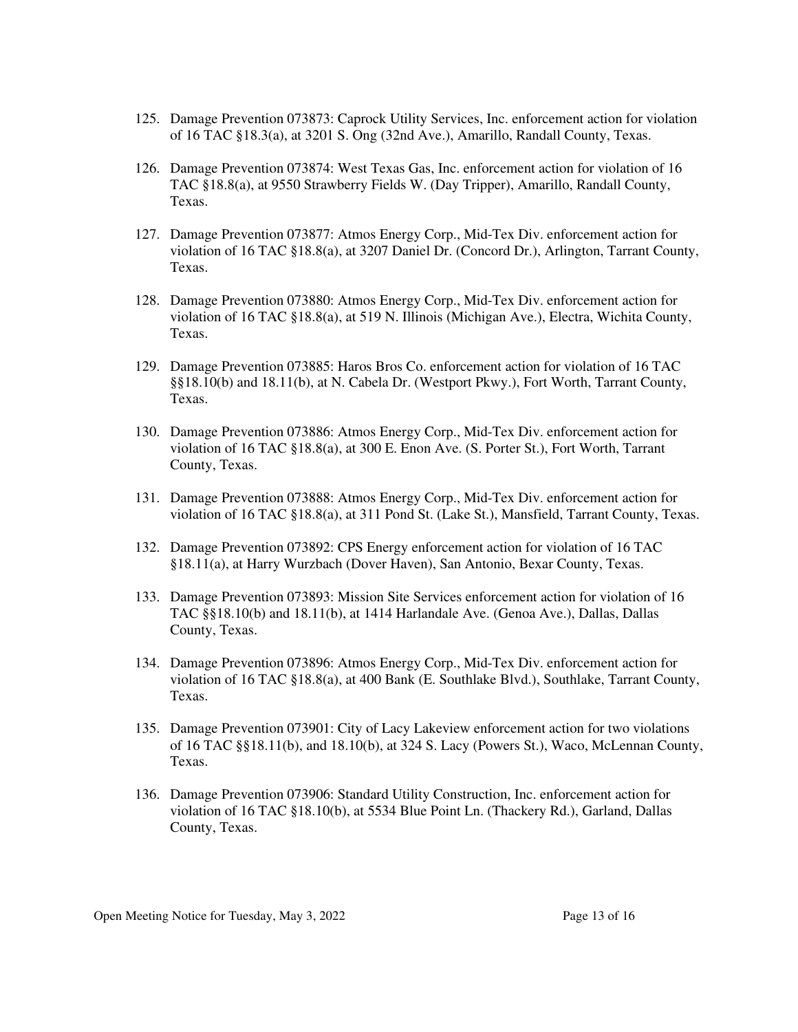- 125. Damage Prevention 073873: Caprock Utility Services, Inc. enforcement action for violation of 16 TAC §18.3(a), at 3201 S. Ong (32nd Ave.), Amarillo, Randall County, Texas.
- 126. Damage Prevention 073874: West Texas Gas, Inc. enforcement action for violation of 16 TAC §18.8(a), at 9550 Strawberry Fields W. (Day Tripper), Amarillo, Randall County, Texas.
- 127. Damage Prevention 073877: Atmos Energy Corp., Mid-Tex Div. enforcement action for violation of 16 TAC §18.8(a), at 3207 Daniel Dr. (Concord Dr.), Arlington, Tarrant County, Texas.
- 128. Damage Prevention 073880: Atmos Energy Corp., Mid-Tex Div. enforcement action for violation of 16 TAC §18.8(a), at 519 N. Illinois (Michigan Ave.), Electra, Wichita County, Texas.
- 129. Damage Prevention 073885: Haros Bros Co. enforcement action for violation of 16 TAC §§18.10(b) and 18.11(b), at N. Cabela Dr. (Westport Pkwy.), Fort Worth, Tarrant County, Texas.
- 130. Damage Prevention 073886: Atmos Energy Corp., Mid-Tex Div. enforcement action for violation of 16 TAC §18.8(a), at 300 E. Enon Ave. (S. Porter St.), Fort Worth, Tarrant County, Texas.
- 131. Damage Prevention 073888: Atmos Energy Corp., Mid-Tex Div. enforcement action for violation of 16 TAC §18.8(a), at 311 Pond St. (Lake St.), Mansfield, Tarrant County, Texas.
- 132. Damage Prevention 073892: CPS Energy enforcement action for violation of 16 TAC §18.11(a), at Harry Wurzbach (Dover Haven), San Antonio, Bexar County, Texas.
- 133. Damage Prevention 073893: Mission Site Services enforcement action for violation of 16 TAC §§18.10(b) and 18.11(b), at 1414 Harlandale Ave. (Genoa Ave.), Dallas, Dallas County, Texas.
- 134. Damage Prevention 073896: Atmos Energy Corp., Mid-Tex Div. enforcement action for violation of 16 TAC §18.8(a), at 400 Bank (E. Southlake Blvd.), Southlake, Tarrant County, Texas.
- 135. Damage Prevention 073901: City of Lacy Lakeview enforcement action for two violations of 16 TAC §§18.11(b), and 18.10(b), at 324 S. Lacy (Powers St.), Waco, McLennan County, Texas.
- 136. Damage Prevention 073906: Standard Utility Construction, Inc. enforcement action for violation of 16 TAC §18.10(b), at 5534 Blue Point Ln. (Thackery Rd.), Garland, Dallas County, Texas.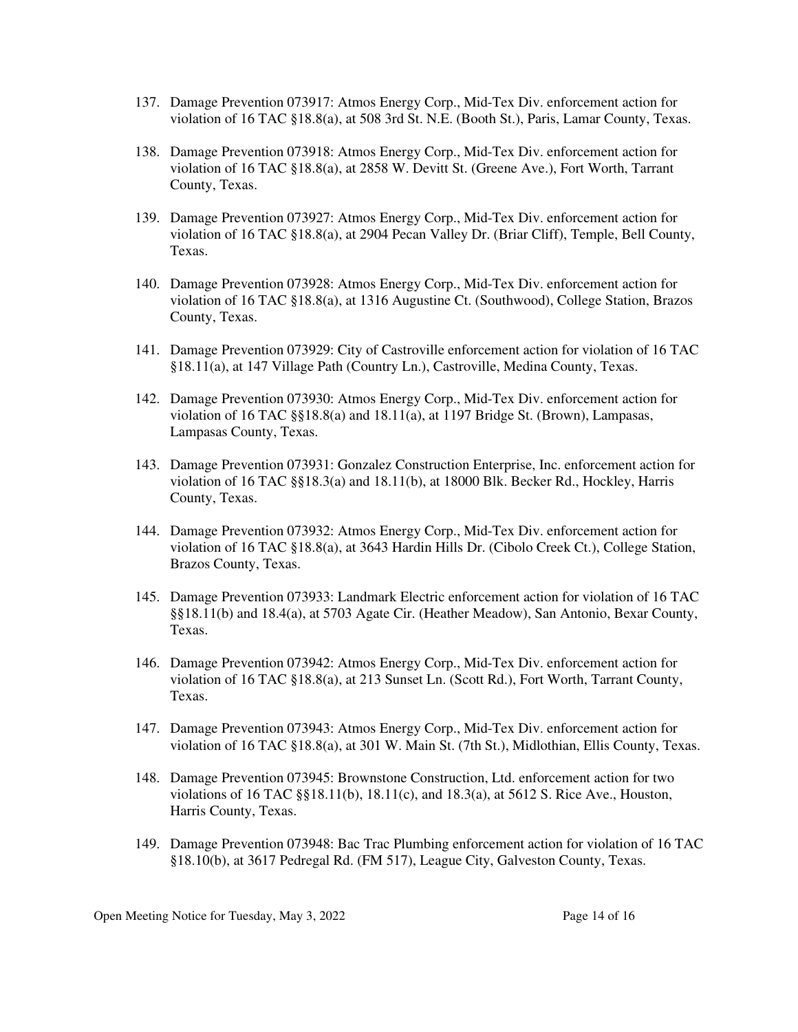- 137. Damage Prevention 073917: Atmos Energy Corp., Mid-Tex Div. enforcement action for violation of 16 TAC §18.8(a), at 508 3rd St. N.E. (Booth St.), Paris, Lamar County, Texas.
- 138. Damage Prevention 073918: Atmos Energy Corp., Mid-Tex Div. enforcement action for violation of 16 TAC §18.8(a), at 2858 W. Devitt St. (Greene Ave.), Fort Worth, Tarrant County, Texas.
- 139. Damage Prevention 073927: Atmos Energy Corp., Mid-Tex Div. enforcement action for violation of 16 TAC §18.8(a), at 2904 Pecan Valley Dr. (Briar Cliff), Temple, Bell County, Texas.
- 140. Damage Prevention 073928: Atmos Energy Corp., Mid-Tex Div. enforcement action for violation of 16 TAC §18.8(a), at 1316 Augustine Ct. (Southwood), College Station, Brazos County, Texas.
- 141. Damage Prevention 073929: City of Castroville enforcement action for violation of 16 TAC §18.11(a), at 147 Village Path (Country Ln.), Castroville, Medina County, Texas.
- 142. Damage Prevention 073930: Atmos Energy Corp., Mid-Tex Div. enforcement action for violation of 16 TAC §§18.8(a) and 18.11(a), at 1197 Bridge St. (Brown), Lampasas, Lampasas County, Texas.
- 143. Damage Prevention 073931: Gonzalez Construction Enterprise, Inc. enforcement action for violation of 16 TAC §§18.3(a) and 18.11(b), at 18000 Blk. Becker Rd., Hockley, Harris County, Texas.
- 144. Damage Prevention 073932: Atmos Energy Corp., Mid-Tex Div. enforcement action for violation of 16 TAC §18.8(a), at 3643 Hardin Hills Dr. (Cibolo Creek Ct.), College Station, Brazos County, Texas.
- 145. Damage Prevention 073933: Landmark Electric enforcement action for violation of 16 TAC §§18.11(b) and 18.4(a), at 5703 Agate Cir. (Heather Meadow), San Antonio, Bexar County, Texas.
- 146. Damage Prevention 073942: Atmos Energy Corp., Mid-Tex Div. enforcement action for violation of 16 TAC §18.8(a), at 213 Sunset Ln. (Scott Rd.), Fort Worth, Tarrant County, Texas.
- 147. Damage Prevention 073943: Atmos Energy Corp., Mid-Tex Div. enforcement action for violation of 16 TAC §18.8(a), at 301 W. Main St. (7th St.), Midlothian, Ellis County, Texas.
- 148. Damage Prevention 073945: Brownstone Construction, Ltd. enforcement action for two violations of 16 TAC §§18.11(b), 18.11(c), and 18.3(a), at 5612 S. Rice Ave., Houston, Harris County, Texas.
- 149. Damage Prevention 073948: Bac Trac Plumbing enforcement action for violation of 16 TAC §18.10(b), at 3617 Pedregal Rd. (FM 517), League City, Galveston County, Texas.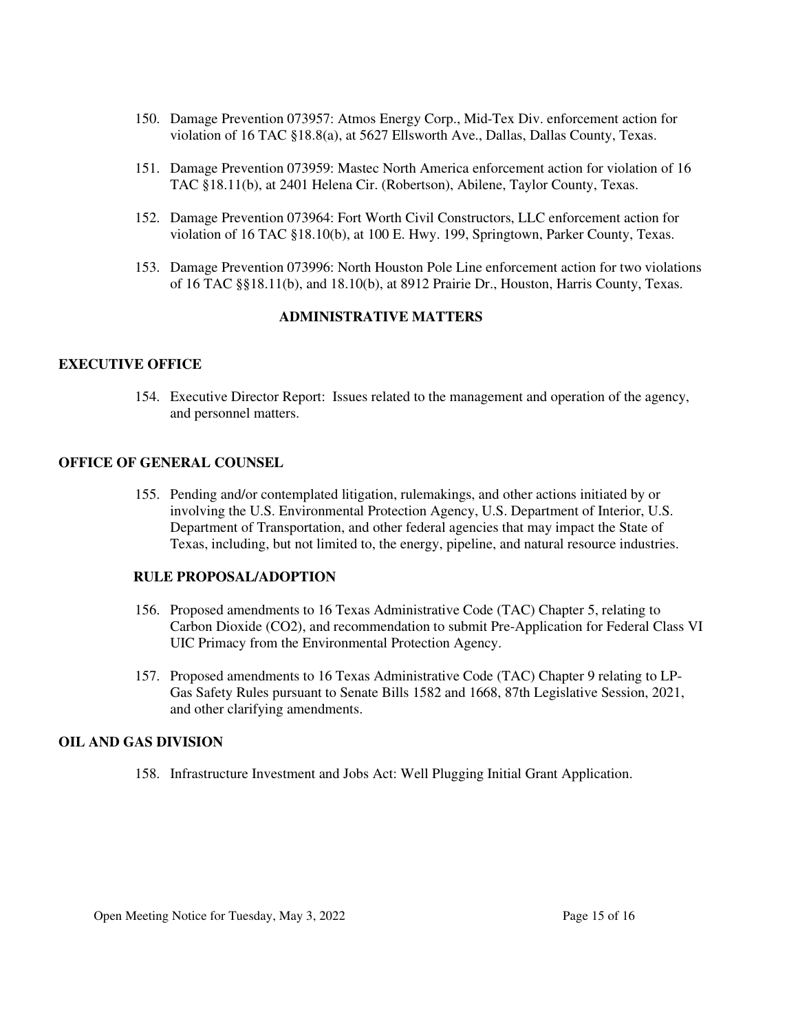- 150. Damage Prevention 073957: Atmos Energy Corp., Mid-Tex Div. enforcement action for violation of 16 TAC §18.8(a), at 5627 Ellsworth Ave., Dallas, Dallas County, Texas.
- 151. Damage Prevention 073959: Mastec North America enforcement action for violation of 16 TAC §18.11(b), at 2401 Helena Cir. (Robertson), Abilene, Taylor County, Texas.
- 152. Damage Prevention 073964: Fort Worth Civil Constructors, LLC enforcement action for violation of 16 TAC §18.10(b), at 100 E. Hwy. 199, Springtown, Parker County, Texas.
- 153. Damage Prevention 073996: North Houston Pole Line enforcement action for two violations of 16 TAC §§18.11(b), and 18.10(b), at 8912 Prairie Dr., Houston, Harris County, Texas.

## **ADMINISTRATIVE MATTERS**

#### **EXECUTIVE OFFICE**

154. Executive Director Report: Issues related to the management and operation of the agency, and personnel matters.

#### **OFFICE OF GENERAL COUNSEL**

155. Pending and/or contemplated litigation, rulemakings, and other actions initiated by or involving the U.S. Environmental Protection Agency, U.S. Department of Interior, U.S. Department of Transportation, and other federal agencies that may impact the State of Texas, including, but not limited to, the energy, pipeline, and natural resource industries.

#### **RULE PROPOSAL/ADOPTION**

- 156. Proposed amendments to 16 Texas Administrative Code (TAC) Chapter 5, relating to Carbon Dioxide (CO2), and recommendation to submit Pre-Application for Federal Class VI UIC Primacy from the Environmental Protection Agency.
- 157. Proposed amendments to 16 Texas Administrative Code (TAC) Chapter 9 relating to LP-Gas Safety Rules pursuant to Senate Bills 1582 and 1668, 87th Legislative Session, 2021, and other clarifying amendments.

#### **OIL AND GAS DIVISION**

158. Infrastructure Investment and Jobs Act: Well Plugging Initial Grant Application.